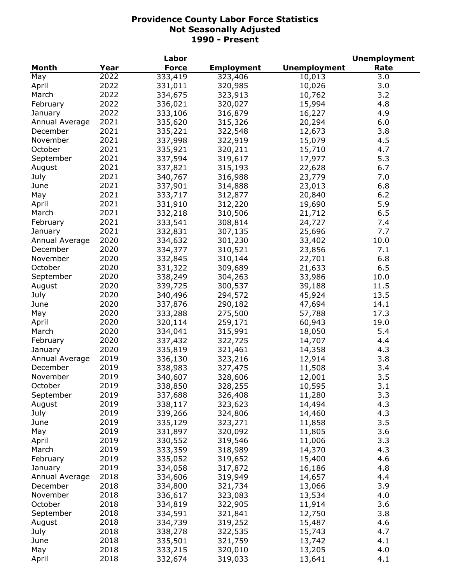|                |      | Labor        |                   |                     | <b>Unemployment</b> |
|----------------|------|--------------|-------------------|---------------------|---------------------|
| <b>Month</b>   | Year | <b>Force</b> | <b>Employment</b> | <b>Unemployment</b> | Rate                |
| May            | 2022 | 333,419      | 323,406           | 10,013              | 3.0                 |
| April          | 2022 | 331,011      | 320,985           | 10,026              | 3.0                 |
| March          | 2022 | 334,675      | 323,913           | 10,762              | 3.2                 |
| February       | 2022 | 336,021      | 320,027           | 15,994              | 4.8                 |
| January        | 2022 | 333,106      | 316,879           | 16,227              | 4.9                 |
| Annual Average | 2021 | 335,620      | 315,326           | 20,294              | 6.0                 |
| December       | 2021 | 335,221      | 322,548           | 12,673              | 3.8                 |
| November       | 2021 | 337,998      | 322,919           | 15,079              | 4.5                 |
| October        | 2021 | 335,921      | 320,211           | 15,710              | 4.7                 |
| September      | 2021 | 337,594      | 319,617           | 17,977              | 5.3                 |
| August         | 2021 | 337,821      | 315,193           | 22,628              | 6.7                 |
| July           | 2021 | 340,767      | 316,988           | 23,779              | 7.0                 |
| June           | 2021 | 337,901      | 314,888           | 23,013              | 6.8                 |
| May            | 2021 | 333,717      | 312,877           | 20,840              | $6.2$               |
| April          | 2021 | 331,910      | 312,220           | 19,690              | 5.9                 |
|                | 2021 |              |                   |                     |                     |
| March          |      | 332,218      | 310,506           | 21,712              | 6.5                 |
| February       | 2021 | 333,541      | 308,814           | 24,727              | 7.4                 |
| January        | 2021 | 332,831      | 307,135           | 25,696              | 7.7                 |
| Annual Average | 2020 | 334,632      | 301,230           | 33,402              | 10.0                |
| December       | 2020 | 334,377      | 310,521           | 23,856              | 7.1                 |
| November       | 2020 | 332,845      | 310,144           | 22,701              | 6.8                 |
| October        | 2020 | 331,322      | 309,689           | 21,633              | 6.5                 |
| September      | 2020 | 338,249      | 304,263           | 33,986              | 10.0                |
| August         | 2020 | 339,725      | 300,537           | 39,188              | 11.5                |
| July           | 2020 | 340,496      | 294,572           | 45,924              | 13.5                |
| June           | 2020 | 337,876      | 290,182           | 47,694              | 14.1                |
| May            | 2020 | 333,288      | 275,500           | 57,788              | 17.3                |
| April          | 2020 | 320,114      | 259,171           | 60,943              | 19.0                |
| March          | 2020 | 334,041      | 315,991           | 18,050              | 5.4                 |
| February       | 2020 | 337,432      | 322,725           | 14,707              | 4.4                 |
| January        | 2020 | 335,819      | 321,461           | 14,358              | 4.3                 |
| Annual Average | 2019 | 336,130      | 323,216           | 12,914              | 3.8                 |
| December       | 2019 | 338,983      | 327,475           | 11,508              | 3.4                 |
| November       | 2019 | 340,607      | 328,606           | 12,001              | 3.5                 |
| October        | 2019 | 338,850      | 328,255           | 10,595              | 3.1                 |
| September      | 2019 | 337,688      | 326,408           | 11,280              | 3.3                 |
| August         | 2019 | 338,117      | 323,623           | 14,494              | 4.3                 |
| July           | 2019 | 339,266      | 324,806           | 14,460              | 4.3                 |
| June           | 2019 | 335,129      | 323,271           | 11,858              | 3.5                 |
| May            | 2019 | 331,897      | 320,092           | 11,805              | 3.6                 |
| April          | 2019 | 330,552      | 319,546           | 11,006              | 3.3                 |
| March          | 2019 | 333,359      | 318,989           | 14,370              | 4.3                 |
| February       | 2019 | 335,052      | 319,652           | 15,400              | 4.6                 |
| January        | 2019 | 334,058      | 317,872           | 16,186              | 4.8                 |
| Annual Average | 2018 | 334,606      | 319,949           | 14,657              | 4.4                 |
| December       | 2018 | 334,800      | 321,734           | 13,066              | 3.9                 |
| November       | 2018 | 336,617      | 323,083           | 13,534              | 4.0                 |
| October        | 2018 | 334,819      | 322,905           | 11,914              | 3.6                 |
| September      | 2018 | 334,591      | 321,841           | 12,750              | 3.8                 |
| August         | 2018 | 334,739      | 319,252           | 15,487              | 4.6                 |
| July           | 2018 | 338,278      | 322,535           | 15,743              | 4.7                 |
| June           | 2018 | 335,501      | 321,759           | 13,742              | 4.1                 |
| May            | 2018 | 333,215      | 320,010           | 13,205              | 4.0                 |
| April          | 2018 | 332,674      | 319,033           | 13,641              | 4.1                 |
|                |      |              |                   |                     |                     |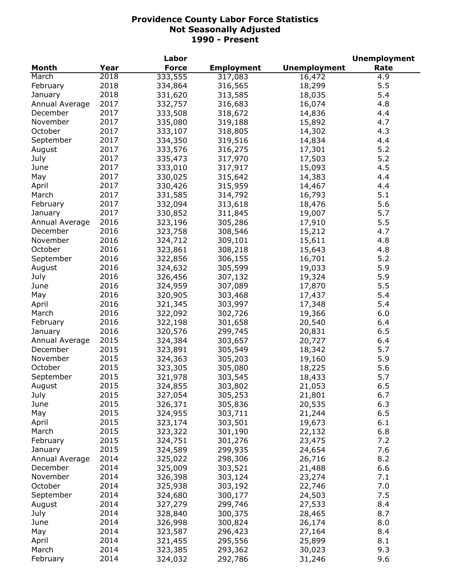|                |      | Labor        |                   |                     | <b>Unemployment</b> |
|----------------|------|--------------|-------------------|---------------------|---------------------|
| Month          | Year | <b>Force</b> | <b>Employment</b> | <b>Unemployment</b> | Rate                |
| March          | 2018 | 333,555      | 317,083           | 16,472              | 4.9                 |
| February       | 2018 | 334,864      | 316,565           | 18,299              | 5.5                 |
| January        | 2018 | 331,620      | 313,585           | 18,035              | 5.4                 |
| Annual Average | 2017 | 332,757      | 316,683           | 16,074              | 4.8                 |
| December       | 2017 | 333,508      | 318,672           | 14,836              | 4.4                 |
| November       | 2017 | 335,080      | 319,188           | 15,892              | 4.7                 |
| October        | 2017 | 333,107      | 318,805           | 14,302              | 4.3                 |
| September      | 2017 | 334,350      | 319,516           | 14,834              | 4.4                 |
| August         | 2017 | 333,576      | 316,275           | 17,301              | 5.2                 |
| July           | 2017 | 335,473      | 317,970           | 17,503              | 5.2                 |
| June           | 2017 | 333,010      | 317,917           | 15,093              | 4.5                 |
| May            | 2017 | 330,025      | 315,642           | 14,383              | 4.4                 |
|                | 2017 |              |                   |                     |                     |
| April          |      | 330,426      | 315,959           | 14,467              | 4.4                 |
| March          | 2017 | 331,585      | 314,792           | 16,793              | 5.1                 |
| February       | 2017 | 332,094      | 313,618           | 18,476              | 5.6                 |
| January        | 2017 | 330,852      | 311,845           | 19,007              | 5.7                 |
| Annual Average | 2016 | 323,196      | 305,286           | 17,910              | 5.5                 |
| December       | 2016 | 323,758      | 308,546           | 15,212              | 4.7                 |
| November       | 2016 | 324,712      | 309,101           | 15,611              | 4.8                 |
| October        | 2016 | 323,861      | 308,218           | 15,643              | 4.8                 |
| September      | 2016 | 322,856      | 306,155           | 16,701              | 5.2                 |
| August         | 2016 | 324,632      | 305,599           | 19,033              | 5.9                 |
| July           | 2016 | 326,456      | 307,132           | 19,324              | 5.9                 |
| June           | 2016 | 324,959      | 307,089           | 17,870              | 5.5                 |
| May            | 2016 | 320,905      | 303,468           | 17,437              | 5.4                 |
| April          | 2016 | 321,345      | 303,997           | 17,348              | 5.4                 |
| March          | 2016 | 322,092      | 302,726           | 19,366              | 6.0                 |
| February       | 2016 | 322,198      | 301,658           | 20,540              | 6.4                 |
| January        | 2016 | 320,576      | 299,745           | 20,831              | 6.5                 |
| Annual Average | 2015 | 324,384      | 303,657           | 20,727              | 6.4                 |
| December       | 2015 | 323,891      | 305,549           | 18,342              | 5.7                 |
| November       | 2015 | 324,363      | 305,203           | 19,160              | 5.9                 |
| October        | 2015 | 323,305      | 305,080           | 18,225              | 5.6                 |
| September      | 2015 | 321,978      | 303,545           | 18,433              | 5.7                 |
| August         | 2015 | 324,855      | 303,802           | 21,053              | 6.5                 |
| July           | 2015 | 327,054      | 305,253           | 21,801              | 6.7                 |
| June           | 2015 | 326,371      | 305,836           | 20,535              | 6.3                 |
| May            | 2015 | 324,955      | 303,711           | 21,244              | 6.5                 |
| April          | 2015 | 323,174      | 303,501           | 19,673              | 6.1                 |
| March          | 2015 | 323,322      | 301,190           | 22,132              | 6.8                 |
| February       | 2015 | 324,751      | 301,276           | 23,475              | 7.2                 |
|                | 2015 |              |                   | 24,654              | 7.6                 |
| January        |      | 324,589      | 299,935           |                     |                     |
| Annual Average | 2014 | 325,022      | 298,306           | 26,716              | 8.2                 |
| December       | 2014 | 325,009      | 303,521           | 21,488              | 6.6                 |
| November       | 2014 | 326,398      | 303,124           | 23,274              | 7.1                 |
| October        | 2014 | 325,938      | 303,192           | 22,746              | 7.0                 |
| September      | 2014 | 324,680      | 300,177           | 24,503              | 7.5                 |
| August         | 2014 | 327,279      | 299,746           | 27,533              | 8.4                 |
| July           | 2014 | 328,840      | 300,375           | 28,465              | 8.7                 |
| June           | 2014 | 326,998      | 300,824           | 26,174              | 8.0                 |
| May            | 2014 | 323,587      | 296,423           | 27,164              | 8.4                 |
| April          | 2014 | 321,455      | 295,556           | 25,899              | 8.1                 |
| March          | 2014 | 323,385      | 293,362           | 30,023              | 9.3                 |
| February       | 2014 | 324,032      | 292,786           | 31,246              | 9.6                 |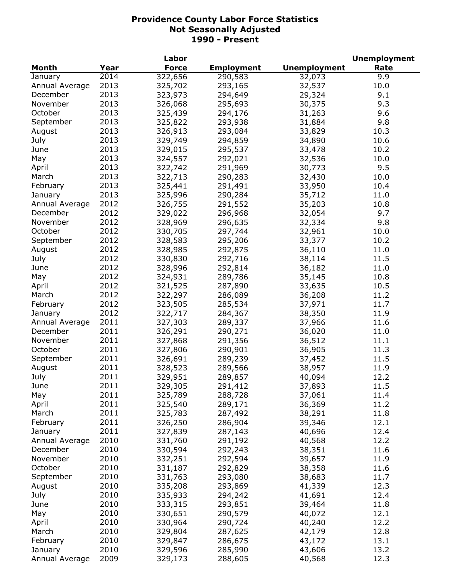| <b>Month</b><br><b>Force</b><br><b>Unemployment</b><br>Year<br><b>Employment</b><br>Rate<br>2014<br>322, 656<br>9.9<br>290,583<br>January<br>32,073<br>2013<br>10.0<br>Annual Average<br>325,702<br>293,165<br>32,537<br>2013<br>December<br>323,973<br>294,649<br>29,324<br>9.1<br>2013<br>9.3<br>November<br>295,693<br>30,375<br>326,068<br>2013<br>October<br>325,439<br>294,176<br>31,263<br>9.6<br>2013<br>9.8<br>September<br>325,822<br>293,938<br>31,884<br>2013<br>326,913<br>293,084<br>33,829<br>10.3<br>August<br>2013<br>10.6<br>July<br>329,749<br>294,859<br>34,890<br>2013<br>June<br>329,015<br>295,537<br>33,478<br>10.2<br>2013<br>292,021<br>May<br>324,557<br>32,536<br>10.0<br>2013<br>322,742<br>9.5<br>291,969<br>30,773<br>April<br>2013<br>322,713<br>32,430<br>10.0<br>March<br>290,283<br>2013<br>325,441<br>33,950<br>February<br>291,491<br>10.4<br>2013<br>325,996<br>35,712<br>290,284<br>11.0<br>January<br>2012<br>326,755<br>35,203<br>Annual Average<br>291,552<br>10.8<br>2012<br>9.7<br>December<br>329,022<br>296,968<br>32,054<br>2012<br>9.8<br>November<br>328,969<br>296,635<br>32,334<br>2012<br>October<br>10.0<br>330,705<br>297,744<br>32,961<br>2012<br>September<br>295,206<br>328,583<br>33,377<br>10.2<br>2012<br>292,875<br>August<br>328,985<br>36,110<br>11.0<br>2012<br>July<br>330,830<br>292,716<br>38,114<br>11.5<br>2012<br>June<br>328,996<br>292,814<br>36,182<br>11.0<br>2012<br>May<br>324,931<br>289,786<br>35,145<br>10.8<br>2012<br>321,525<br>287,890<br>33,635<br>10.5<br>April<br>2012<br>March<br>322,297<br>286,089<br>36,208<br>11.2<br>2012<br>323,505<br>37,971<br>February<br>285,534<br>11.7<br>2012<br>322,717<br>38,350<br>January<br>284,367<br>11.9<br>2011<br>327,303<br>289,337<br>37,966<br>11.6<br>Annual Average<br>2011<br>326,291<br>36,020<br>December<br>290,271<br>11.0<br>2011<br>327,868<br>291,356<br>36,512<br>November<br>11.1<br>2011<br>October<br>327,806<br>290,901<br>36,905<br>11.3<br>2011<br>September<br>326,691<br>289,239<br>37,452<br>11.5<br>2011<br>328,523<br>289,566<br>38,957<br>11.9<br>2011<br>July<br>329,951<br>289,857<br>40,094<br>12.2<br>2011<br>11.5<br>291,412<br>329,305<br>37,893<br>2011<br>May<br>11.4<br>325,789<br>288,728<br>37,061<br>2011<br>11.2<br>April<br>325,540<br>289,171<br>36,369<br>2011<br>March<br>325,783<br>287,492<br>38,291<br>11.8<br>2011<br>326,250<br>286,904<br>39,346<br>12.1<br>February<br>2011<br>327,839<br>40,696<br>12.4<br>January<br>287,143<br>2010<br>Annual Average<br>331,760<br>40,568<br>12.2<br>291,192<br>2010<br>December<br>330,594<br>292,243<br>38,351<br>11.6<br>2010<br>November<br>332,251<br>292,594<br>39,657<br>11.9<br>2010<br>292,829<br>38,358<br>October<br>331,187<br>11.6<br>2010<br>331,763<br>September<br>293,080<br>38,683<br>11.7<br>2010<br>335,208<br>August<br>293,869<br>41,339<br>12.3<br>2010<br>335,933<br>July<br>294,242<br>41,691<br>12.4<br>2010<br>333,315<br>293,851<br>39,464<br>11.8<br>June<br>2010<br>12.1<br>May<br>330,651<br>290,579<br>40,072<br>2010<br>12.2<br>April<br>330,964<br>290,724<br>40,240 |                |      | Labor   |         |        | <b>Unemployment</b> |
|----------------------------------------------------------------------------------------------------------------------------------------------------------------------------------------------------------------------------------------------------------------------------------------------------------------------------------------------------------------------------------------------------------------------------------------------------------------------------------------------------------------------------------------------------------------------------------------------------------------------------------------------------------------------------------------------------------------------------------------------------------------------------------------------------------------------------------------------------------------------------------------------------------------------------------------------------------------------------------------------------------------------------------------------------------------------------------------------------------------------------------------------------------------------------------------------------------------------------------------------------------------------------------------------------------------------------------------------------------------------------------------------------------------------------------------------------------------------------------------------------------------------------------------------------------------------------------------------------------------------------------------------------------------------------------------------------------------------------------------------------------------------------------------------------------------------------------------------------------------------------------------------------------------------------------------------------------------------------------------------------------------------------------------------------------------------------------------------------------------------------------------------------------------------------------------------------------------------------------------------------------------------------------------------------------------------------------------------------------------------------------------------------------------------------------------------------------------------------------------------------------------------------------------------------------------------------------------------------------------------------------------------------------------------------------------------------------------------------------------------------------------------------------------------------------------------------------------------------------------------------------------------------------------------------------------------------------------------------------------------------------------------------------------------------------------------------------------------------------------------------|----------------|------|---------|---------|--------|---------------------|
|                                                                                                                                                                                                                                                                                                                                                                                                                                                                                                                                                                                                                                                                                                                                                                                                                                                                                                                                                                                                                                                                                                                                                                                                                                                                                                                                                                                                                                                                                                                                                                                                                                                                                                                                                                                                                                                                                                                                                                                                                                                                                                                                                                                                                                                                                                                                                                                                                                                                                                                                                                                                                                                                                                                                                                                                                                                                                                                                                                                                                                                                                                                            |                |      |         |         |        |                     |
|                                                                                                                                                                                                                                                                                                                                                                                                                                                                                                                                                                                                                                                                                                                                                                                                                                                                                                                                                                                                                                                                                                                                                                                                                                                                                                                                                                                                                                                                                                                                                                                                                                                                                                                                                                                                                                                                                                                                                                                                                                                                                                                                                                                                                                                                                                                                                                                                                                                                                                                                                                                                                                                                                                                                                                                                                                                                                                                                                                                                                                                                                                                            |                |      |         |         |        |                     |
|                                                                                                                                                                                                                                                                                                                                                                                                                                                                                                                                                                                                                                                                                                                                                                                                                                                                                                                                                                                                                                                                                                                                                                                                                                                                                                                                                                                                                                                                                                                                                                                                                                                                                                                                                                                                                                                                                                                                                                                                                                                                                                                                                                                                                                                                                                                                                                                                                                                                                                                                                                                                                                                                                                                                                                                                                                                                                                                                                                                                                                                                                                                            |                |      |         |         |        |                     |
|                                                                                                                                                                                                                                                                                                                                                                                                                                                                                                                                                                                                                                                                                                                                                                                                                                                                                                                                                                                                                                                                                                                                                                                                                                                                                                                                                                                                                                                                                                                                                                                                                                                                                                                                                                                                                                                                                                                                                                                                                                                                                                                                                                                                                                                                                                                                                                                                                                                                                                                                                                                                                                                                                                                                                                                                                                                                                                                                                                                                                                                                                                                            |                |      |         |         |        |                     |
|                                                                                                                                                                                                                                                                                                                                                                                                                                                                                                                                                                                                                                                                                                                                                                                                                                                                                                                                                                                                                                                                                                                                                                                                                                                                                                                                                                                                                                                                                                                                                                                                                                                                                                                                                                                                                                                                                                                                                                                                                                                                                                                                                                                                                                                                                                                                                                                                                                                                                                                                                                                                                                                                                                                                                                                                                                                                                                                                                                                                                                                                                                                            |                |      |         |         |        |                     |
|                                                                                                                                                                                                                                                                                                                                                                                                                                                                                                                                                                                                                                                                                                                                                                                                                                                                                                                                                                                                                                                                                                                                                                                                                                                                                                                                                                                                                                                                                                                                                                                                                                                                                                                                                                                                                                                                                                                                                                                                                                                                                                                                                                                                                                                                                                                                                                                                                                                                                                                                                                                                                                                                                                                                                                                                                                                                                                                                                                                                                                                                                                                            |                |      |         |         |        |                     |
|                                                                                                                                                                                                                                                                                                                                                                                                                                                                                                                                                                                                                                                                                                                                                                                                                                                                                                                                                                                                                                                                                                                                                                                                                                                                                                                                                                                                                                                                                                                                                                                                                                                                                                                                                                                                                                                                                                                                                                                                                                                                                                                                                                                                                                                                                                                                                                                                                                                                                                                                                                                                                                                                                                                                                                                                                                                                                                                                                                                                                                                                                                                            |                |      |         |         |        |                     |
|                                                                                                                                                                                                                                                                                                                                                                                                                                                                                                                                                                                                                                                                                                                                                                                                                                                                                                                                                                                                                                                                                                                                                                                                                                                                                                                                                                                                                                                                                                                                                                                                                                                                                                                                                                                                                                                                                                                                                                                                                                                                                                                                                                                                                                                                                                                                                                                                                                                                                                                                                                                                                                                                                                                                                                                                                                                                                                                                                                                                                                                                                                                            |                |      |         |         |        |                     |
|                                                                                                                                                                                                                                                                                                                                                                                                                                                                                                                                                                                                                                                                                                                                                                                                                                                                                                                                                                                                                                                                                                                                                                                                                                                                                                                                                                                                                                                                                                                                                                                                                                                                                                                                                                                                                                                                                                                                                                                                                                                                                                                                                                                                                                                                                                                                                                                                                                                                                                                                                                                                                                                                                                                                                                                                                                                                                                                                                                                                                                                                                                                            |                |      |         |         |        |                     |
|                                                                                                                                                                                                                                                                                                                                                                                                                                                                                                                                                                                                                                                                                                                                                                                                                                                                                                                                                                                                                                                                                                                                                                                                                                                                                                                                                                                                                                                                                                                                                                                                                                                                                                                                                                                                                                                                                                                                                                                                                                                                                                                                                                                                                                                                                                                                                                                                                                                                                                                                                                                                                                                                                                                                                                                                                                                                                                                                                                                                                                                                                                                            |                |      |         |         |        |                     |
|                                                                                                                                                                                                                                                                                                                                                                                                                                                                                                                                                                                                                                                                                                                                                                                                                                                                                                                                                                                                                                                                                                                                                                                                                                                                                                                                                                                                                                                                                                                                                                                                                                                                                                                                                                                                                                                                                                                                                                                                                                                                                                                                                                                                                                                                                                                                                                                                                                                                                                                                                                                                                                                                                                                                                                                                                                                                                                                                                                                                                                                                                                                            |                |      |         |         |        |                     |
|                                                                                                                                                                                                                                                                                                                                                                                                                                                                                                                                                                                                                                                                                                                                                                                                                                                                                                                                                                                                                                                                                                                                                                                                                                                                                                                                                                                                                                                                                                                                                                                                                                                                                                                                                                                                                                                                                                                                                                                                                                                                                                                                                                                                                                                                                                                                                                                                                                                                                                                                                                                                                                                                                                                                                                                                                                                                                                                                                                                                                                                                                                                            |                |      |         |         |        |                     |
|                                                                                                                                                                                                                                                                                                                                                                                                                                                                                                                                                                                                                                                                                                                                                                                                                                                                                                                                                                                                                                                                                                                                                                                                                                                                                                                                                                                                                                                                                                                                                                                                                                                                                                                                                                                                                                                                                                                                                                                                                                                                                                                                                                                                                                                                                                                                                                                                                                                                                                                                                                                                                                                                                                                                                                                                                                                                                                                                                                                                                                                                                                                            |                |      |         |         |        |                     |
|                                                                                                                                                                                                                                                                                                                                                                                                                                                                                                                                                                                                                                                                                                                                                                                                                                                                                                                                                                                                                                                                                                                                                                                                                                                                                                                                                                                                                                                                                                                                                                                                                                                                                                                                                                                                                                                                                                                                                                                                                                                                                                                                                                                                                                                                                                                                                                                                                                                                                                                                                                                                                                                                                                                                                                                                                                                                                                                                                                                                                                                                                                                            |                |      |         |         |        |                     |
|                                                                                                                                                                                                                                                                                                                                                                                                                                                                                                                                                                                                                                                                                                                                                                                                                                                                                                                                                                                                                                                                                                                                                                                                                                                                                                                                                                                                                                                                                                                                                                                                                                                                                                                                                                                                                                                                                                                                                                                                                                                                                                                                                                                                                                                                                                                                                                                                                                                                                                                                                                                                                                                                                                                                                                                                                                                                                                                                                                                                                                                                                                                            |                |      |         |         |        |                     |
|                                                                                                                                                                                                                                                                                                                                                                                                                                                                                                                                                                                                                                                                                                                                                                                                                                                                                                                                                                                                                                                                                                                                                                                                                                                                                                                                                                                                                                                                                                                                                                                                                                                                                                                                                                                                                                                                                                                                                                                                                                                                                                                                                                                                                                                                                                                                                                                                                                                                                                                                                                                                                                                                                                                                                                                                                                                                                                                                                                                                                                                                                                                            |                |      |         |         |        |                     |
|                                                                                                                                                                                                                                                                                                                                                                                                                                                                                                                                                                                                                                                                                                                                                                                                                                                                                                                                                                                                                                                                                                                                                                                                                                                                                                                                                                                                                                                                                                                                                                                                                                                                                                                                                                                                                                                                                                                                                                                                                                                                                                                                                                                                                                                                                                                                                                                                                                                                                                                                                                                                                                                                                                                                                                                                                                                                                                                                                                                                                                                                                                                            |                |      |         |         |        |                     |
|                                                                                                                                                                                                                                                                                                                                                                                                                                                                                                                                                                                                                                                                                                                                                                                                                                                                                                                                                                                                                                                                                                                                                                                                                                                                                                                                                                                                                                                                                                                                                                                                                                                                                                                                                                                                                                                                                                                                                                                                                                                                                                                                                                                                                                                                                                                                                                                                                                                                                                                                                                                                                                                                                                                                                                                                                                                                                                                                                                                                                                                                                                                            |                |      |         |         |        |                     |
|                                                                                                                                                                                                                                                                                                                                                                                                                                                                                                                                                                                                                                                                                                                                                                                                                                                                                                                                                                                                                                                                                                                                                                                                                                                                                                                                                                                                                                                                                                                                                                                                                                                                                                                                                                                                                                                                                                                                                                                                                                                                                                                                                                                                                                                                                                                                                                                                                                                                                                                                                                                                                                                                                                                                                                                                                                                                                                                                                                                                                                                                                                                            |                |      |         |         |        |                     |
|                                                                                                                                                                                                                                                                                                                                                                                                                                                                                                                                                                                                                                                                                                                                                                                                                                                                                                                                                                                                                                                                                                                                                                                                                                                                                                                                                                                                                                                                                                                                                                                                                                                                                                                                                                                                                                                                                                                                                                                                                                                                                                                                                                                                                                                                                                                                                                                                                                                                                                                                                                                                                                                                                                                                                                                                                                                                                                                                                                                                                                                                                                                            |                |      |         |         |        |                     |
|                                                                                                                                                                                                                                                                                                                                                                                                                                                                                                                                                                                                                                                                                                                                                                                                                                                                                                                                                                                                                                                                                                                                                                                                                                                                                                                                                                                                                                                                                                                                                                                                                                                                                                                                                                                                                                                                                                                                                                                                                                                                                                                                                                                                                                                                                                                                                                                                                                                                                                                                                                                                                                                                                                                                                                                                                                                                                                                                                                                                                                                                                                                            |                |      |         |         |        |                     |
|                                                                                                                                                                                                                                                                                                                                                                                                                                                                                                                                                                                                                                                                                                                                                                                                                                                                                                                                                                                                                                                                                                                                                                                                                                                                                                                                                                                                                                                                                                                                                                                                                                                                                                                                                                                                                                                                                                                                                                                                                                                                                                                                                                                                                                                                                                                                                                                                                                                                                                                                                                                                                                                                                                                                                                                                                                                                                                                                                                                                                                                                                                                            |                |      |         |         |        |                     |
|                                                                                                                                                                                                                                                                                                                                                                                                                                                                                                                                                                                                                                                                                                                                                                                                                                                                                                                                                                                                                                                                                                                                                                                                                                                                                                                                                                                                                                                                                                                                                                                                                                                                                                                                                                                                                                                                                                                                                                                                                                                                                                                                                                                                                                                                                                                                                                                                                                                                                                                                                                                                                                                                                                                                                                                                                                                                                                                                                                                                                                                                                                                            |                |      |         |         |        |                     |
|                                                                                                                                                                                                                                                                                                                                                                                                                                                                                                                                                                                                                                                                                                                                                                                                                                                                                                                                                                                                                                                                                                                                                                                                                                                                                                                                                                                                                                                                                                                                                                                                                                                                                                                                                                                                                                                                                                                                                                                                                                                                                                                                                                                                                                                                                                                                                                                                                                                                                                                                                                                                                                                                                                                                                                                                                                                                                                                                                                                                                                                                                                                            |                |      |         |         |        |                     |
|                                                                                                                                                                                                                                                                                                                                                                                                                                                                                                                                                                                                                                                                                                                                                                                                                                                                                                                                                                                                                                                                                                                                                                                                                                                                                                                                                                                                                                                                                                                                                                                                                                                                                                                                                                                                                                                                                                                                                                                                                                                                                                                                                                                                                                                                                                                                                                                                                                                                                                                                                                                                                                                                                                                                                                                                                                                                                                                                                                                                                                                                                                                            |                |      |         |         |        |                     |
|                                                                                                                                                                                                                                                                                                                                                                                                                                                                                                                                                                                                                                                                                                                                                                                                                                                                                                                                                                                                                                                                                                                                                                                                                                                                                                                                                                                                                                                                                                                                                                                                                                                                                                                                                                                                                                                                                                                                                                                                                                                                                                                                                                                                                                                                                                                                                                                                                                                                                                                                                                                                                                                                                                                                                                                                                                                                                                                                                                                                                                                                                                                            |                |      |         |         |        |                     |
|                                                                                                                                                                                                                                                                                                                                                                                                                                                                                                                                                                                                                                                                                                                                                                                                                                                                                                                                                                                                                                                                                                                                                                                                                                                                                                                                                                                                                                                                                                                                                                                                                                                                                                                                                                                                                                                                                                                                                                                                                                                                                                                                                                                                                                                                                                                                                                                                                                                                                                                                                                                                                                                                                                                                                                                                                                                                                                                                                                                                                                                                                                                            |                |      |         |         |        |                     |
|                                                                                                                                                                                                                                                                                                                                                                                                                                                                                                                                                                                                                                                                                                                                                                                                                                                                                                                                                                                                                                                                                                                                                                                                                                                                                                                                                                                                                                                                                                                                                                                                                                                                                                                                                                                                                                                                                                                                                                                                                                                                                                                                                                                                                                                                                                                                                                                                                                                                                                                                                                                                                                                                                                                                                                                                                                                                                                                                                                                                                                                                                                                            |                |      |         |         |        |                     |
|                                                                                                                                                                                                                                                                                                                                                                                                                                                                                                                                                                                                                                                                                                                                                                                                                                                                                                                                                                                                                                                                                                                                                                                                                                                                                                                                                                                                                                                                                                                                                                                                                                                                                                                                                                                                                                                                                                                                                                                                                                                                                                                                                                                                                                                                                                                                                                                                                                                                                                                                                                                                                                                                                                                                                                                                                                                                                                                                                                                                                                                                                                                            |                |      |         |         |        |                     |
|                                                                                                                                                                                                                                                                                                                                                                                                                                                                                                                                                                                                                                                                                                                                                                                                                                                                                                                                                                                                                                                                                                                                                                                                                                                                                                                                                                                                                                                                                                                                                                                                                                                                                                                                                                                                                                                                                                                                                                                                                                                                                                                                                                                                                                                                                                                                                                                                                                                                                                                                                                                                                                                                                                                                                                                                                                                                                                                                                                                                                                                                                                                            |                |      |         |         |        |                     |
|                                                                                                                                                                                                                                                                                                                                                                                                                                                                                                                                                                                                                                                                                                                                                                                                                                                                                                                                                                                                                                                                                                                                                                                                                                                                                                                                                                                                                                                                                                                                                                                                                                                                                                                                                                                                                                                                                                                                                                                                                                                                                                                                                                                                                                                                                                                                                                                                                                                                                                                                                                                                                                                                                                                                                                                                                                                                                                                                                                                                                                                                                                                            |                |      |         |         |        |                     |
|                                                                                                                                                                                                                                                                                                                                                                                                                                                                                                                                                                                                                                                                                                                                                                                                                                                                                                                                                                                                                                                                                                                                                                                                                                                                                                                                                                                                                                                                                                                                                                                                                                                                                                                                                                                                                                                                                                                                                                                                                                                                                                                                                                                                                                                                                                                                                                                                                                                                                                                                                                                                                                                                                                                                                                                                                                                                                                                                                                                                                                                                                                                            |                |      |         |         |        |                     |
|                                                                                                                                                                                                                                                                                                                                                                                                                                                                                                                                                                                                                                                                                                                                                                                                                                                                                                                                                                                                                                                                                                                                                                                                                                                                                                                                                                                                                                                                                                                                                                                                                                                                                                                                                                                                                                                                                                                                                                                                                                                                                                                                                                                                                                                                                                                                                                                                                                                                                                                                                                                                                                                                                                                                                                                                                                                                                                                                                                                                                                                                                                                            |                |      |         |         |        |                     |
|                                                                                                                                                                                                                                                                                                                                                                                                                                                                                                                                                                                                                                                                                                                                                                                                                                                                                                                                                                                                                                                                                                                                                                                                                                                                                                                                                                                                                                                                                                                                                                                                                                                                                                                                                                                                                                                                                                                                                                                                                                                                                                                                                                                                                                                                                                                                                                                                                                                                                                                                                                                                                                                                                                                                                                                                                                                                                                                                                                                                                                                                                                                            |                |      |         |         |        |                     |
|                                                                                                                                                                                                                                                                                                                                                                                                                                                                                                                                                                                                                                                                                                                                                                                                                                                                                                                                                                                                                                                                                                                                                                                                                                                                                                                                                                                                                                                                                                                                                                                                                                                                                                                                                                                                                                                                                                                                                                                                                                                                                                                                                                                                                                                                                                                                                                                                                                                                                                                                                                                                                                                                                                                                                                                                                                                                                                                                                                                                                                                                                                                            | August         |      |         |         |        |                     |
|                                                                                                                                                                                                                                                                                                                                                                                                                                                                                                                                                                                                                                                                                                                                                                                                                                                                                                                                                                                                                                                                                                                                                                                                                                                                                                                                                                                                                                                                                                                                                                                                                                                                                                                                                                                                                                                                                                                                                                                                                                                                                                                                                                                                                                                                                                                                                                                                                                                                                                                                                                                                                                                                                                                                                                                                                                                                                                                                                                                                                                                                                                                            |                |      |         |         |        |                     |
|                                                                                                                                                                                                                                                                                                                                                                                                                                                                                                                                                                                                                                                                                                                                                                                                                                                                                                                                                                                                                                                                                                                                                                                                                                                                                                                                                                                                                                                                                                                                                                                                                                                                                                                                                                                                                                                                                                                                                                                                                                                                                                                                                                                                                                                                                                                                                                                                                                                                                                                                                                                                                                                                                                                                                                                                                                                                                                                                                                                                                                                                                                                            | June           |      |         |         |        |                     |
|                                                                                                                                                                                                                                                                                                                                                                                                                                                                                                                                                                                                                                                                                                                                                                                                                                                                                                                                                                                                                                                                                                                                                                                                                                                                                                                                                                                                                                                                                                                                                                                                                                                                                                                                                                                                                                                                                                                                                                                                                                                                                                                                                                                                                                                                                                                                                                                                                                                                                                                                                                                                                                                                                                                                                                                                                                                                                                                                                                                                                                                                                                                            |                |      |         |         |        |                     |
|                                                                                                                                                                                                                                                                                                                                                                                                                                                                                                                                                                                                                                                                                                                                                                                                                                                                                                                                                                                                                                                                                                                                                                                                                                                                                                                                                                                                                                                                                                                                                                                                                                                                                                                                                                                                                                                                                                                                                                                                                                                                                                                                                                                                                                                                                                                                                                                                                                                                                                                                                                                                                                                                                                                                                                                                                                                                                                                                                                                                                                                                                                                            |                |      |         |         |        |                     |
|                                                                                                                                                                                                                                                                                                                                                                                                                                                                                                                                                                                                                                                                                                                                                                                                                                                                                                                                                                                                                                                                                                                                                                                                                                                                                                                                                                                                                                                                                                                                                                                                                                                                                                                                                                                                                                                                                                                                                                                                                                                                                                                                                                                                                                                                                                                                                                                                                                                                                                                                                                                                                                                                                                                                                                                                                                                                                                                                                                                                                                                                                                                            |                |      |         |         |        |                     |
|                                                                                                                                                                                                                                                                                                                                                                                                                                                                                                                                                                                                                                                                                                                                                                                                                                                                                                                                                                                                                                                                                                                                                                                                                                                                                                                                                                                                                                                                                                                                                                                                                                                                                                                                                                                                                                                                                                                                                                                                                                                                                                                                                                                                                                                                                                                                                                                                                                                                                                                                                                                                                                                                                                                                                                                                                                                                                                                                                                                                                                                                                                                            |                |      |         |         |        |                     |
|                                                                                                                                                                                                                                                                                                                                                                                                                                                                                                                                                                                                                                                                                                                                                                                                                                                                                                                                                                                                                                                                                                                                                                                                                                                                                                                                                                                                                                                                                                                                                                                                                                                                                                                                                                                                                                                                                                                                                                                                                                                                                                                                                                                                                                                                                                                                                                                                                                                                                                                                                                                                                                                                                                                                                                                                                                                                                                                                                                                                                                                                                                                            |                |      |         |         |        |                     |
|                                                                                                                                                                                                                                                                                                                                                                                                                                                                                                                                                                                                                                                                                                                                                                                                                                                                                                                                                                                                                                                                                                                                                                                                                                                                                                                                                                                                                                                                                                                                                                                                                                                                                                                                                                                                                                                                                                                                                                                                                                                                                                                                                                                                                                                                                                                                                                                                                                                                                                                                                                                                                                                                                                                                                                                                                                                                                                                                                                                                                                                                                                                            |                |      |         |         |        |                     |
|                                                                                                                                                                                                                                                                                                                                                                                                                                                                                                                                                                                                                                                                                                                                                                                                                                                                                                                                                                                                                                                                                                                                                                                                                                                                                                                                                                                                                                                                                                                                                                                                                                                                                                                                                                                                                                                                                                                                                                                                                                                                                                                                                                                                                                                                                                                                                                                                                                                                                                                                                                                                                                                                                                                                                                                                                                                                                                                                                                                                                                                                                                                            |                |      |         |         |        |                     |
|                                                                                                                                                                                                                                                                                                                                                                                                                                                                                                                                                                                                                                                                                                                                                                                                                                                                                                                                                                                                                                                                                                                                                                                                                                                                                                                                                                                                                                                                                                                                                                                                                                                                                                                                                                                                                                                                                                                                                                                                                                                                                                                                                                                                                                                                                                                                                                                                                                                                                                                                                                                                                                                                                                                                                                                                                                                                                                                                                                                                                                                                                                                            |                |      |         |         |        |                     |
|                                                                                                                                                                                                                                                                                                                                                                                                                                                                                                                                                                                                                                                                                                                                                                                                                                                                                                                                                                                                                                                                                                                                                                                                                                                                                                                                                                                                                                                                                                                                                                                                                                                                                                                                                                                                                                                                                                                                                                                                                                                                                                                                                                                                                                                                                                                                                                                                                                                                                                                                                                                                                                                                                                                                                                                                                                                                                                                                                                                                                                                                                                                            |                |      |         |         |        |                     |
|                                                                                                                                                                                                                                                                                                                                                                                                                                                                                                                                                                                                                                                                                                                                                                                                                                                                                                                                                                                                                                                                                                                                                                                                                                                                                                                                                                                                                                                                                                                                                                                                                                                                                                                                                                                                                                                                                                                                                                                                                                                                                                                                                                                                                                                                                                                                                                                                                                                                                                                                                                                                                                                                                                                                                                                                                                                                                                                                                                                                                                                                                                                            |                |      |         |         |        |                     |
|                                                                                                                                                                                                                                                                                                                                                                                                                                                                                                                                                                                                                                                                                                                                                                                                                                                                                                                                                                                                                                                                                                                                                                                                                                                                                                                                                                                                                                                                                                                                                                                                                                                                                                                                                                                                                                                                                                                                                                                                                                                                                                                                                                                                                                                                                                                                                                                                                                                                                                                                                                                                                                                                                                                                                                                                                                                                                                                                                                                                                                                                                                                            |                |      |         |         |        |                     |
|                                                                                                                                                                                                                                                                                                                                                                                                                                                                                                                                                                                                                                                                                                                                                                                                                                                                                                                                                                                                                                                                                                                                                                                                                                                                                                                                                                                                                                                                                                                                                                                                                                                                                                                                                                                                                                                                                                                                                                                                                                                                                                                                                                                                                                                                                                                                                                                                                                                                                                                                                                                                                                                                                                                                                                                                                                                                                                                                                                                                                                                                                                                            |                |      |         |         |        |                     |
|                                                                                                                                                                                                                                                                                                                                                                                                                                                                                                                                                                                                                                                                                                                                                                                                                                                                                                                                                                                                                                                                                                                                                                                                                                                                                                                                                                                                                                                                                                                                                                                                                                                                                                                                                                                                                                                                                                                                                                                                                                                                                                                                                                                                                                                                                                                                                                                                                                                                                                                                                                                                                                                                                                                                                                                                                                                                                                                                                                                                                                                                                                                            |                |      |         |         |        |                     |
|                                                                                                                                                                                                                                                                                                                                                                                                                                                                                                                                                                                                                                                                                                                                                                                                                                                                                                                                                                                                                                                                                                                                                                                                                                                                                                                                                                                                                                                                                                                                                                                                                                                                                                                                                                                                                                                                                                                                                                                                                                                                                                                                                                                                                                                                                                                                                                                                                                                                                                                                                                                                                                                                                                                                                                                                                                                                                                                                                                                                                                                                                                                            |                |      |         |         |        |                     |
|                                                                                                                                                                                                                                                                                                                                                                                                                                                                                                                                                                                                                                                                                                                                                                                                                                                                                                                                                                                                                                                                                                                                                                                                                                                                                                                                                                                                                                                                                                                                                                                                                                                                                                                                                                                                                                                                                                                                                                                                                                                                                                                                                                                                                                                                                                                                                                                                                                                                                                                                                                                                                                                                                                                                                                                                                                                                                                                                                                                                                                                                                                                            |                |      |         |         |        |                     |
|                                                                                                                                                                                                                                                                                                                                                                                                                                                                                                                                                                                                                                                                                                                                                                                                                                                                                                                                                                                                                                                                                                                                                                                                                                                                                                                                                                                                                                                                                                                                                                                                                                                                                                                                                                                                                                                                                                                                                                                                                                                                                                                                                                                                                                                                                                                                                                                                                                                                                                                                                                                                                                                                                                                                                                                                                                                                                                                                                                                                                                                                                                                            | March          | 2010 | 329,804 | 287,625 | 42,179 | 12.8                |
| 2010<br>329,847<br>286,675<br>43,172<br>13.1                                                                                                                                                                                                                                                                                                                                                                                                                                                                                                                                                                                                                                                                                                                                                                                                                                                                                                                                                                                                                                                                                                                                                                                                                                                                                                                                                                                                                                                                                                                                                                                                                                                                                                                                                                                                                                                                                                                                                                                                                                                                                                                                                                                                                                                                                                                                                                                                                                                                                                                                                                                                                                                                                                                                                                                                                                                                                                                                                                                                                                                                               | February       |      |         |         |        |                     |
| 2010<br>13.2<br>329,596<br>285,990<br>43,606<br>January                                                                                                                                                                                                                                                                                                                                                                                                                                                                                                                                                                                                                                                                                                                                                                                                                                                                                                                                                                                                                                                                                                                                                                                                                                                                                                                                                                                                                                                                                                                                                                                                                                                                                                                                                                                                                                                                                                                                                                                                                                                                                                                                                                                                                                                                                                                                                                                                                                                                                                                                                                                                                                                                                                                                                                                                                                                                                                                                                                                                                                                                    |                |      |         |         |        |                     |
| 2009<br>40,568<br>12.3<br>329,173<br>288,605                                                                                                                                                                                                                                                                                                                                                                                                                                                                                                                                                                                                                                                                                                                                                                                                                                                                                                                                                                                                                                                                                                                                                                                                                                                                                                                                                                                                                                                                                                                                                                                                                                                                                                                                                                                                                                                                                                                                                                                                                                                                                                                                                                                                                                                                                                                                                                                                                                                                                                                                                                                                                                                                                                                                                                                                                                                                                                                                                                                                                                                                               | Annual Average |      |         |         |        |                     |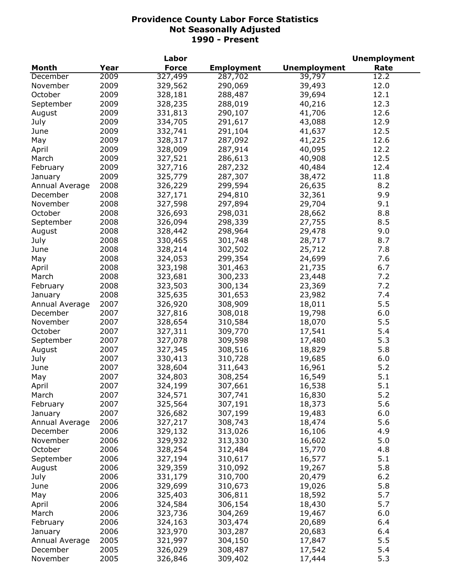|                |      | Labor        |                   |                     | <b>Unemployment</b> |
|----------------|------|--------------|-------------------|---------------------|---------------------|
| <b>Month</b>   | Year | <b>Force</b> | <b>Employment</b> | <b>Unemployment</b> | Rate                |
| December       | 2009 | 327,499      | 287,702           | 39,797              | 12.2                |
| November       | 2009 | 329,562      | 290,069           | 39,493              | 12.0                |
| October        | 2009 | 328,181      | 288,487           | 39,694              | 12.1                |
| September      | 2009 | 328,235      | 288,019           | 40,216              | 12.3                |
| August         | 2009 | 331,813      | 290,107           | 41,706              | 12.6                |
| July           | 2009 | 334,705      | 291,617           | 43,088              | 12.9                |
| June           | 2009 | 332,741      | 291,104           | 41,637              | 12.5                |
| May            | 2009 | 328,317      | 287,092           | 41,225              | 12.6                |
| April          | 2009 | 328,009      | 287,914           | 40,095              | 12.2                |
| March          | 2009 | 327,521      | 286,613           | 40,908              | 12.5                |
| February       | 2009 | 327,716      | 287,232           | 40,484              | 12.4                |
| January        | 2009 | 325,779      | 287,307           | 38,472              | 11.8                |
| Annual Average | 2008 | 326,229      | 299,594           | 26,635              | 8.2                 |
| December       | 2008 | 327,171      | 294,810           | 32,361              | 9.9                 |
| November       | 2008 | 327,598      | 297,894           | 29,704              | 9.1                 |
| October        | 2008 | 326,693      | 298,031           | 28,662              | 8.8                 |
| September      | 2008 | 326,094      | 298,339           | 27,755              | 8.5                 |
|                | 2008 | 328,442      | 298,964           | 29,478              | 9.0                 |
| August         | 2008 | 330,465      |                   |                     | 8.7                 |
| July           |      |              | 301,748           | 28,717              |                     |
| June           | 2008 | 328,214      | 302,502           | 25,712              | 7.8                 |
| May            | 2008 | 324,053      | 299,354           | 24,699              | 7.6                 |
| April          | 2008 | 323,198      | 301,463           | 21,735              | 6.7                 |
| March          | 2008 | 323,681      | 300,233           | 23,448              | 7.2                 |
| February       | 2008 | 323,503      | 300,134           | 23,369              | 7.2                 |
| January        | 2008 | 325,635      | 301,653           | 23,982              | 7.4                 |
| Annual Average | 2007 | 326,920      | 308,909           | 18,011              | 5.5                 |
| December       | 2007 | 327,816      | 308,018           | 19,798              | 6.0                 |
| November       | 2007 | 328,654      | 310,584           | 18,070              | 5.5                 |
| October        | 2007 | 327,311      | 309,770           | 17,541              | 5.4                 |
| September      | 2007 | 327,078      | 309,598           | 17,480              | 5.3                 |
| August         | 2007 | 327,345      | 308,516           | 18,829              | 5.8                 |
| July           | 2007 | 330,413      | 310,728           | 19,685              | 6.0                 |
| June           | 2007 | 328,604      | 311,643           | 16,961              | 5.2                 |
| May            | 2007 | 324,803      | 308,254           | 16,549              | 5.1                 |
| April          | 2007 | 324,199      | 307,661           | 16,538              | 5.1                 |
| March          | 2007 | 324,571      | 307,741           | 16,830              | 5.2                 |
| February       | 2007 | 325,564      | 307,191           | 18,373              | 5.6                 |
| January        | 2007 | 326,682      | 307,199           | 19,483              | 6.0                 |
| Annual Average | 2006 | 327,217      | 308,743           | 18,474              | 5.6                 |
| December       | 2006 | 329,132      | 313,026           | 16,106              | 4.9                 |
| November       | 2006 | 329,932      | 313,330           | 16,602              | 5.0                 |
| October        | 2006 | 328,254      | 312,484           | 15,770              | 4.8                 |
| September      | 2006 | 327,194      | 310,617           | 16,577              | 5.1                 |
| August         | 2006 | 329,359      | 310,092           | 19,267              | 5.8                 |
| July           | 2006 | 331,179      | 310,700           | 20,479              | $6.2$               |
| June           | 2006 | 329,699      | 310,673           | 19,026              | 5.8                 |
| May            | 2006 | 325,403      | 306,811           | 18,592              | 5.7                 |
| April          | 2006 | 324,584      | 306,154           | 18,430              | 5.7                 |
| March          | 2006 | 323,736      | 304,269           | 19,467              | 6.0                 |
| February       | 2006 | 324,163      | 303,474           | 20,689              | 6.4                 |
| January        | 2006 | 323,970      | 303,287           | 20,683              | 6.4                 |
| Annual Average | 2005 | 321,997      | 304,150           | 17,847              | 5.5                 |
| December       | 2005 | 326,029      | 308,487           | 17,542              | 5.4                 |
| November       | 2005 | 326,846      | 309,402           | 17,444              | 5.3                 |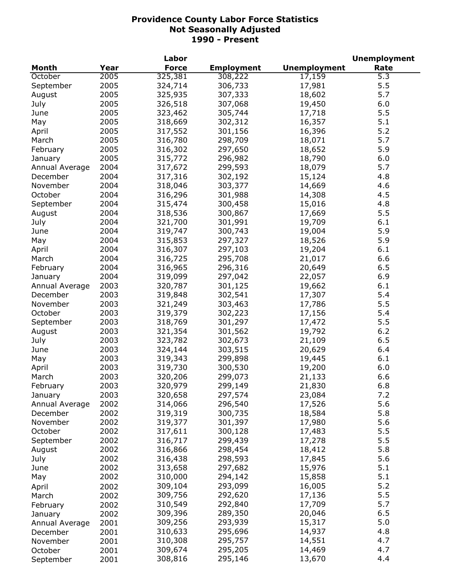|                |      | Labor        |                   |                     | <b>Unemployment</b> |
|----------------|------|--------------|-------------------|---------------------|---------------------|
| <b>Month</b>   | Year | <b>Force</b> | <b>Employment</b> | <b>Unemployment</b> | Rate                |
| October        | 2005 | 325,381      | 308,222           | 17,159              | 5.3                 |
| September      | 2005 | 324,714      | 306,733           | 17,981              | 5.5                 |
| August         | 2005 | 325,935      | 307,333           | 18,602              | 5.7                 |
| July           | 2005 | 326,518      | 307,068           | 19,450              | 6.0                 |
| June           | 2005 | 323,462      | 305,744           | 17,718              | 5.5                 |
| May            | 2005 | 318,669      | 302,312           | 16,357              | 5.1                 |
| April          | 2005 | 317,552      | 301,156           | 16,396              | 5.2                 |
| March          | 2005 | 316,780      | 298,709           | 18,071              | 5.7                 |
| February       | 2005 | 316,302      | 297,650           | 18,652              | 5.9                 |
| January        | 2005 | 315,772      | 296,982           | 18,790              | 6.0                 |
| Annual Average | 2004 | 317,672      | 299,593           | 18,079              | 5.7                 |
| December       | 2004 | 317,316      | 302,192           | 15,124              | 4.8                 |
| November       | 2004 | 318,046      | 303,377           | 14,669              | 4.6                 |
| October        | 2004 | 316,296      | 301,988           | 14,308              | 4.5                 |
| September      | 2004 | 315,474      | 300,458           | 15,016              | 4.8                 |
|                | 2004 | 318,536      | 300,867           | 17,669              | 5.5                 |
| August         | 2004 |              |                   | 19,709              | 6.1                 |
| July           |      | 321,700      | 301,991           |                     |                     |
| June           | 2004 | 319,747      | 300,743           | 19,004              | 5.9                 |
| May            | 2004 | 315,853      | 297,327           | 18,526              | 5.9                 |
| April          | 2004 | 316,307      | 297,103           | 19,204              | 6.1                 |
| March          | 2004 | 316,725      | 295,708           | 21,017              | 6.6                 |
| February       | 2004 | 316,965      | 296,316           | 20,649              | 6.5                 |
| January        | 2004 | 319,099      | 297,042           | 22,057              | 6.9                 |
| Annual Average | 2003 | 320,787      | 301,125           | 19,662              | 6.1                 |
| December       | 2003 | 319,848      | 302,541           | 17,307              | 5.4                 |
| November       | 2003 | 321,249      | 303,463           | 17,786              | 5.5                 |
| October        | 2003 | 319,379      | 302,223           | 17,156              | 5.4                 |
| September      | 2003 | 318,769      | 301,297           | 17,472              | 5.5                 |
| August         | 2003 | 321,354      | 301,562           | 19,792              | 6.2                 |
| July           | 2003 | 323,782      | 302,673           | 21,109              | 6.5                 |
| June           | 2003 | 324,144      | 303,515           | 20,629              | 6.4                 |
| May            | 2003 | 319,343      | 299,898           | 19,445              | 6.1                 |
| April          | 2003 | 319,730      | 300,530           | 19,200              | 6.0                 |
| March          | 2003 | 320,206      | 299,073           | 21,133              | 6.6                 |
| February       | 2003 | 320,979      | 299,149           | 21,830              | 6.8                 |
| January        | 2003 | 320,658      | 297,574           | 23,084              | 7.2                 |
| Annual Average | 2002 | 314,066      | 296,540           | 17,526              | 5.6                 |
| December       | 2002 | 319,319      | 300,735           | 18,584              | 5.8                 |
| November       | 2002 | 319,377      | 301,397           | 17,980              | 5.6                 |
| October        | 2002 | 317,611      | 300,128           | 17,483              | 5.5                 |
| September      | 2002 | 316,717      | 299,439           | 17,278              | 5.5                 |
| August         | 2002 | 316,866      | 298,454           | 18,412              | 5.8                 |
| July           | 2002 | 316,438      | 298,593           | 17,845              | 5.6                 |
| June           | 2002 | 313,658      | 297,682           | 15,976              | 5.1                 |
| May            | 2002 | 310,000      | 294,142           | 15,858              | 5.1                 |
| April          | 2002 | 309,104      | 293,099           | 16,005              | 5.2                 |
| March          | 2002 | 309,756      | 292,620           | 17,136              | 5.5                 |
| February       | 2002 | 310,549      | 292,840           | 17,709              | 5.7                 |
| January        | 2002 | 309,396      | 289,350           | 20,046              | 6.5                 |
| Annual Average | 2001 | 309,256      | 293,939           | 15,317              | 5.0                 |
| December       | 2001 | 310,633      | 295,696           | 14,937              | 4.8                 |
| November       | 2001 | 310,308      | 295,757           | 14,551              | 4.7                 |
| October        | 2001 | 309,674      | 295,205           | 14,469              | 4.7                 |
|                | 2001 | 308,816      | 295,146           | 13,670              | 4.4                 |
| September      |      |              |                   |                     |                     |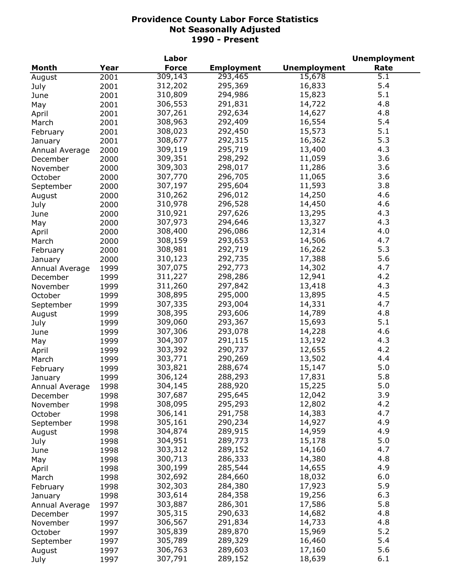|                |      | Labor        |                   |                     | <b>Unemployment</b> |
|----------------|------|--------------|-------------------|---------------------|---------------------|
| <b>Month</b>   | Year | <b>Force</b> | <b>Employment</b> | <b>Unemployment</b> | Rate                |
| August         | 2001 | 309,143      | 293,465           | 15,678              | 5.1                 |
| July           | 2001 | 312,202      | 295,369           | 16,833              | 5.4                 |
| June           | 2001 | 310,809      | 294,986           | 15,823              | 5.1                 |
| May            | 2001 | 306,553      | 291,831           | 14,722              | 4.8                 |
| April          | 2001 | 307,261      | 292,634           | 14,627              | 4.8                 |
| March          | 2001 | 308,963      | 292,409           | 16,554              | 5.4                 |
| February       | 2001 | 308,023      | 292,450           | 15,573              | 5.1                 |
| January        | 2001 | 308,677      | 292,315           | 16,362              | 5.3                 |
| Annual Average | 2000 | 309,119      | 295,719           | 13,400              | 4.3                 |
| December       | 2000 | 309,351      | 298,292           | 11,059              | 3.6                 |
|                |      | 309,303      | 298,017           | 11,286              | 3.6                 |
| November       | 2000 | 307,770      | 296,705           | 11,065              | 3.6                 |
| October        | 2000 |              |                   |                     | 3.8                 |
| September      | 2000 | 307,197      | 295,604           | 11,593              |                     |
| August         | 2000 | 310,262      | 296,012           | 14,250              | 4.6                 |
| July           | 2000 | 310,978      | 296,528           | 14,450              | 4.6                 |
| June           | 2000 | 310,921      | 297,626           | 13,295              | 4.3                 |
| May            | 2000 | 307,973      | 294,646           | 13,327              | 4.3                 |
| April          | 2000 | 308,400      | 296,086           | 12,314              | 4.0                 |
| March          | 2000 | 308,159      | 293,653           | 14,506              | 4.7                 |
| February       | 2000 | 308,981      | 292,719           | 16,262              | 5.3                 |
| January        | 2000 | 310,123      | 292,735           | 17,388              | 5.6                 |
| Annual Average | 1999 | 307,075      | 292,773           | 14,302              | 4.7                 |
| December       | 1999 | 311,227      | 298,286           | 12,941              | 4.2                 |
| November       | 1999 | 311,260      | 297,842           | 13,418              | 4.3                 |
| October        | 1999 | 308,895      | 295,000           | 13,895              | 4.5                 |
| September      | 1999 | 307,335      | 293,004           | 14,331              | 4.7                 |
| August         | 1999 | 308,395      | 293,606           | 14,789              | 4.8                 |
| July           | 1999 | 309,060      | 293,367           | 15,693              | 5.1                 |
| June           | 1999 | 307,306      | 293,078           | 14,228              | 4.6                 |
| May            | 1999 | 304,307      | 291,115           | 13,192              | 4.3                 |
| April          | 1999 | 303,392      | 290,737           | 12,655              | 4.2                 |
| March          | 1999 | 303,771      | 290,269           | 13,502              | 4.4                 |
| February       | 1999 | 303,821      | 288,674           | 15,147              | 5.0                 |
| January        | 1999 | 306,124      | 288,293           | 17,831              | 5.8                 |
| Annual Average | 1998 | 304,145      | 288,920           | 15,225              | 5.0                 |
| December       | 1998 | 307,687      | 295,645           | 12,042              | 3.9                 |
| November       | 1998 | 308,095      | 295,293           | 12,802              | 4.2                 |
| October        | 1998 | 306,141      | 291,758           | 14,383              | 4.7                 |
| September      | 1998 | 305,161      | 290,234           | 14,927              | 4.9                 |
| August         | 1998 | 304,874      | 289,915           | 14,959              | 4.9                 |
|                | 1998 | 304,951      | 289,773           | 15,178              | 5.0                 |
| July           | 1998 | 303,312      | 289,152           | 14,160              | 4.7                 |
| June           |      | 300,713      | 286,333           | 14,380              | 4.8                 |
| May            | 1998 | 300,199      | 285,544           | 14,655              | 4.9                 |
| April          | 1998 |              |                   | 18,032              | 6.0                 |
| March          | 1998 | 302,692      | 284,660           |                     |                     |
| February       | 1998 | 302,303      | 284,380           | 17,923              | 5.9                 |
| January        | 1998 | 303,614      | 284,358           | 19,256              | 6.3                 |
| Annual Average | 1997 | 303,887      | 286,301           | 17,586              | 5.8                 |
| December       | 1997 | 305,315      | 290,633           | 14,682              | 4.8                 |
| November       | 1997 | 306,567      | 291,834           | 14,733              | 4.8                 |
| October        | 1997 | 305,839      | 289,870           | 15,969              | 5.2                 |
| September      | 1997 | 305,789      | 289,329           | 16,460              | 5.4                 |
| August         | 1997 | 306,763      | 289,603           | 17,160              | 5.6                 |
| July           | 1997 | 307,791      | 289,152           | 18,639              | 6.1                 |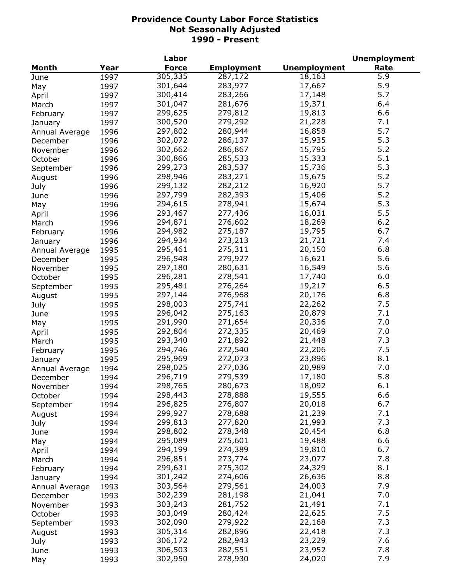|                |      | Labor        |                   |                     | <b>Unemployment</b> |
|----------------|------|--------------|-------------------|---------------------|---------------------|
| Month          | Year | <b>Force</b> | <b>Employment</b> | <b>Unemployment</b> | Rate                |
| June           | 1997 | 305,335      | 287,172           | 18,163              | 5.9                 |
| May            | 1997 | 301,644      | 283,977           | 17,667              | 5.9                 |
| April          | 1997 | 300,414      | 283,266           | 17,148              | 5.7                 |
| March          | 1997 | 301,047      | 281,676           | 19,371              | 6.4                 |
| February       | 1997 | 299,625      | 279,812           | 19,813              | 6.6                 |
| January        | 1997 | 300,520      | 279,292           | 21,228              | 7.1                 |
| Annual Average | 1996 | 297,802      | 280,944           | 16,858              | 5.7                 |
| December       | 1996 | 302,072      | 286,137           | 15,935              | 5.3                 |
| November       | 1996 | 302,662      | 286,867           | 15,795              | 5.2                 |
|                | 1996 | 300,866      | 285,533           | 15,333              | 5.1                 |
| October        |      | 299,273      | 283,537           | 15,736              | 5.3                 |
| September      | 1996 |              |                   |                     | 5.2                 |
| August         | 1996 | 298,946      | 283,271           | 15,675              |                     |
| July           | 1996 | 299,132      | 282,212           | 16,920              | 5.7                 |
| June           | 1996 | 297,799      | 282,393           | 15,406              | 5.2                 |
| May            | 1996 | 294,615      | 278,941           | 15,674              | 5.3                 |
| April          | 1996 | 293,467      | 277,436           | 16,031              | 5.5                 |
| March          | 1996 | 294,871      | 276,602           | 18,269              | 6.2                 |
| February       | 1996 | 294,982      | 275,187           | 19,795              | 6.7                 |
| January        | 1996 | 294,934      | 273,213           | 21,721              | 7.4                 |
| Annual Average | 1995 | 295,461      | 275,311           | 20,150              | 6.8                 |
| December       | 1995 | 296,548      | 279,927           | 16,621              | 5.6                 |
| November       | 1995 | 297,180      | 280,631           | 16,549              | 5.6                 |
| October        | 1995 | 296,281      | 278,541           | 17,740              | 6.0                 |
| September      | 1995 | 295,481      | 276,264           | 19,217              | 6.5                 |
| August         | 1995 | 297,144      | 276,968           | 20,176              | 6.8                 |
| July           | 1995 | 298,003      | 275,741           | 22,262              | 7.5                 |
| June           | 1995 | 296,042      | 275,163           | 20,879              | 7.1                 |
| May            | 1995 | 291,990      | 271,654           | 20,336              | 7.0                 |
| April          | 1995 | 292,804      | 272,335           | 20,469              | 7.0                 |
| March          | 1995 | 293,340      | 271,892           | 21,448              | 7.3                 |
| February       | 1995 | 294,746      | 272,540           | 22,206              | 7.5                 |
| January        | 1995 | 295,969      | 272,073           | 23,896              | 8.1                 |
| Annual Average | 1994 | 298,025      | 277,036           | 20,989              | 7.0                 |
| December       | 1994 | 296,719      | 279,539           | 17,180              | 5.8                 |
| November       | 1994 | 298,765      | 280,673           | 18,092              | 6.1                 |
|                | 1994 | 298,443      | 278,888           | 19,555              | 6.6                 |
| October        | 1994 | 296,825      | 276,807           | 20,018              | 6.7                 |
| September      | 1994 | 299,927      | 278,688           | 21,239              | 7.1                 |
| August         |      | 299,813      | 277,820           | 21,993              | 7.3                 |
| July           | 1994 | 298,802      |                   | 20,454              | 6.8                 |
| June           | 1994 |              | 278,348           |                     |                     |
| May            | 1994 | 295,089      | 275,601           | 19,488              | 6.6                 |
| April          | 1994 | 294,199      | 274,389           | 19,810              | 6.7                 |
| March          | 1994 | 296,851      | 273,774           | 23,077              | 7.8                 |
| February       | 1994 | 299,631      | 275,302           | 24,329              | 8.1                 |
| January        | 1994 | 301,242      | 274,606           | 26,636              | 8.8                 |
| Annual Average | 1993 | 303,564      | 279,561           | 24,003              | 7.9                 |
| December       | 1993 | 302,239      | 281,198           | 21,041              | 7.0                 |
| November       | 1993 | 303,243      | 281,752           | 21,491              | 7.1                 |
| October        | 1993 | 303,049      | 280,424           | 22,625              | 7.5                 |
| September      | 1993 | 302,090      | 279,922           | 22,168              | 7.3                 |
| August         | 1993 | 305,314      | 282,896           | 22,418              | 7.3                 |
| July           | 1993 | 306,172      | 282,943           | 23,229              | 7.6                 |
| June           | 1993 | 306,503      | 282,551           | 23,952              | 7.8                 |
| May            | 1993 | 302,950      | 278,930           | 24,020              | 7.9                 |